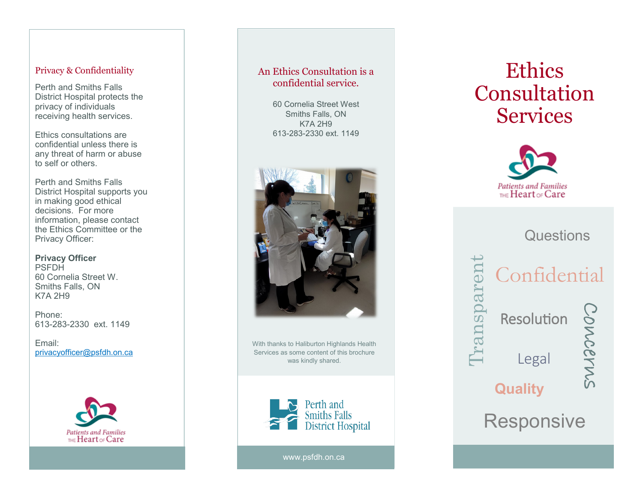#### Privacy & Confidentiality

Perth and Smiths Falls District Hospital protects the privacy of individuals receiving health services.

Ethics consultations are confidential unless there is any threat of harm or abuse to self or others.

Perth and Smiths Falls District Hospital supports you in making good ethical decisions. For more information, please contact the Ethics Committee or the Privacy Officer:

**Privacy Officer** PSFDH 60 Cornelia Street W. Smiths Falls, ON K7A 2H9

Phone: 613 -283 -2330 ext. 1149

Email: [privacyofficer@psfdh.on.ca](mailto:privacyofficer@psfdh.on.ca)



## An Ethics Consultation is a confidential service.

60 Cornelia Street West Smiths Falls, ON K7A 2H9 613 -283 -2330 ext. 1149



With thanks to Haliburton Highlands Health Services as some content of this brochure was kindly shared.



www.psfdh.on.ca

# Ethics Consultation **Services**